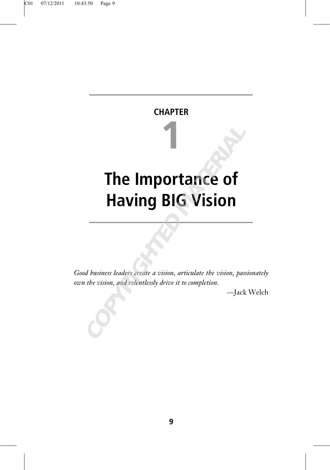# **CHAPTER**

1

# The Importance of Having BIG Vision **The Importance of<br>Having BIG Vision<br>** *Cod business leaders create a vision, articulate the vision, pas***<br>** *Cod business leaders create a vision, articulate the vision, pas***<br>** *C*

Good business leaders create a vision, articulate the vision, passionately own the vision, and relentlessly drive it to completion.

—Jack Welch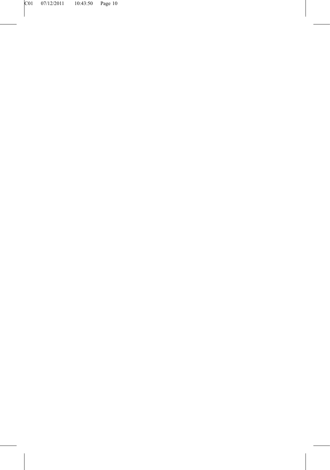C01 07/12/2011 10:43:50 Page 10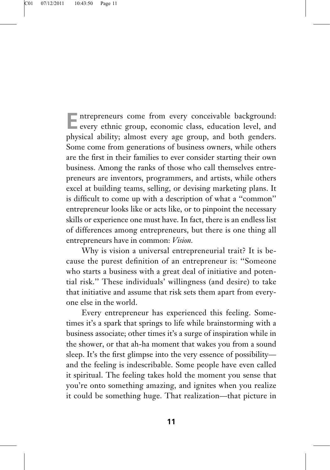Entrepreneurs come from every conceivable background: every ethnic group, economic class, education level, and physical ability; almost every age group, and both genders. Some come from generations of business owners, while others are the first in their families to ever consider starting their own business. Among the ranks of those who call themselves entrepreneurs are inventors, programmers, and artists, while others excel at building teams, selling, or devising marketing plans. It is difficult to come up with a description of what a ''common'' entrepreneur looks like or acts like, or to pinpoint the necessary skills or experience one must have. In fact, there is an endless list of differences among entrepreneurs, but there is one thing all entrepreneurs have in common: Vision.

Why is vision a universal entrepreneurial trait? It is because the purest definition of an entrepreneur is: ''Someone who starts a business with a great deal of initiative and potential risk.'' These individuals' willingness (and desire) to take that initiative and assume that risk sets them apart from everyone else in the world.

Every entrepreneur has experienced this feeling. Sometimes it's a spark that springs to life while brainstorming with a business associate; other times it's a surge of inspiration while in the shower, or that ah-ha moment that wakes you from a sound sleep. It's the first glimpse into the very essence of possibility and the feeling is indescribable. Some people have even called it spiritual. The feeling takes hold the moment you sense that you're onto something amazing, and ignites when you realize it could be something huge. That realization—that picture in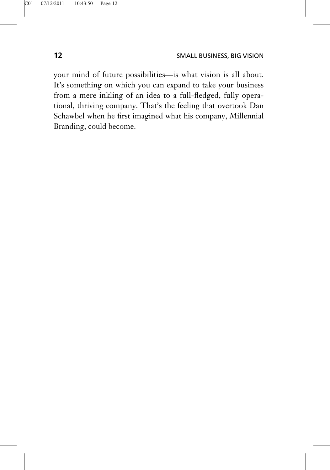## 12 SMALL BUSINESS, BIG VISION

your mind of future possibilities—is what vision is all about. It's something on which you can expand to take your business from a mere inkling of an idea to a full-fledged, fully operational, thriving company. That's the feeling that overtook Dan Schawbel when he first imagined what his company, Millennial Branding, could become.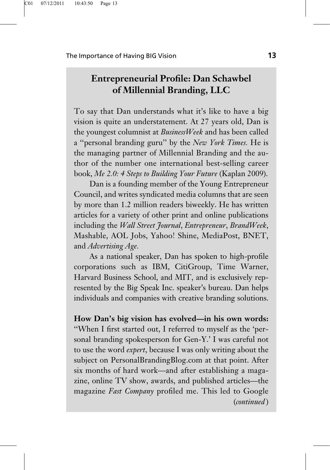# Entrepreneurial Profile: Dan Schawbel of Millennial Branding, LLC

To say that Dan understands what it's like to have a big vision is quite an understatement. At 27 years old, Dan is the youngest columnist at BusinessWeek and has been called a "personal branding guru" by the *New York Times*. He is the managing partner of Millennial Branding and the author of the number one international best-selling career book, Me 2.0: 4 Steps to Building Your Future (Kaplan 2009).

Dan is a founding member of the Young Entrepreneur Council, and writes syndicated media columns that are seen by more than 1.2 million readers biweekly. He has written articles for a variety of other print and online publications including the Wall Street Journal, Entrepreneur, BrandWeek, Mashable, AOL Jobs, Yahoo! Shine, MediaPost, BNET, and Advertising Age.

As a national speaker, Dan has spoken to high-profile corporations such as IBM, CitiGroup, Time Warner, Harvard Business School, and MIT, and is exclusively represented by the Big Speak Inc. speaker's bureau. Dan helps individuals and companies with creative branding solutions.

# How Dan's big vision has evolved—in his own words: ''When I first started out, I referred to myself as the 'per-

sonal branding spokesperson for Gen-Y.' I was careful not to use the word expert, because I was only writing about the subject on PersonalBrandingBlog.com at that point. After six months of hard work—and after establishing a magazine, online TV show, awards, and published articles—the magazine *Fast Company* profiled me. This led to Google (continued )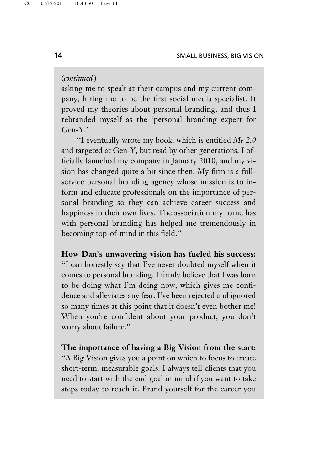## (continued )

asking me to speak at their campus and my current company, hiring me to be the first social media specialist. It proved my theories about personal branding, and thus I rebranded myself as the 'personal branding expert for Gen-Y.'

"I eventually wrote my book, which is entitled  $Me$  2.0 and targeted at Gen-Y, but read by other generations. I officially launched my company in January 2010, and my vision has changed quite a bit since then. My firm is a fullservice personal branding agency whose mission is to inform and educate professionals on the importance of personal branding so they can achieve career success and happiness in their own lives. The association my name has with personal branding has helped me tremendously in becoming top-of-mind in this field.''

How Dan's unwavering vision has fueled his success: ''I can honestly say that I've never doubted myself when it comes to personal branding. I firmly believe that I was born to be doing what I'm doing now, which gives me confidence and alleviates any fear. I've been rejected and ignored so many times at this point that it doesn't even bother me! When you're confident about your product, you don't worry about failure.''

The importance of having a Big Vision from the start: ''A Big Vision gives you a point on which to focus to create short-term, measurable goals. I always tell clients that you need to start with the end goal in mind if you want to take steps today to reach it. Brand yourself for the career you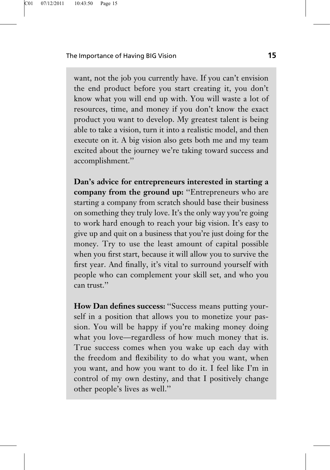want, not the job you currently have. If you can't envision the end product before you start creating it, you don't know what you will end up with. You will waste a lot of resources, time, and money if you don't know the exact product you want to develop. My greatest talent is being able to take a vision, turn it into a realistic model, and then execute on it. A big vision also gets both me and my team excited about the journey we're taking toward success and accomplishment.''

Dan's advice for entrepreneurs interested in starting a company from the ground up: ''Entrepreneurs who are starting a company from scratch should base their business on something they truly love. It's the only way you're going to work hard enough to reach your big vision. It's easy to give up and quit on a business that you're just doing for the money. Try to use the least amount of capital possible when you first start, because it will allow you to survive the first year. And finally, it's vital to surround yourself with people who can complement your skill set, and who you can trust.''

How Dan defines success: "Success means putting yourself in a position that allows you to monetize your passion. You will be happy if you're making money doing what you love—regardless of how much money that is. True success comes when you wake up each day with the freedom and flexibility to do what you want, when you want, and how you want to do it. I feel like I'm in control of my own destiny, and that I positively change other people's lives as well.''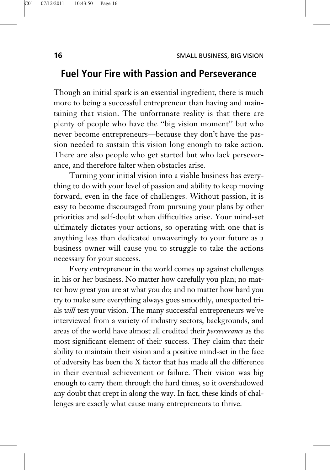## C<sub>0</sub>1 07/12/2012 Page 17/2012 Page 17

# Fuel Your Fire with Passion and Perseverance

Though an initial spark is an essential ingredient, there is much more to being a successful entrepreneur than having and maintaining that vision. The unfortunate reality is that there are plenty of people who have the ''big vision moment'' but who never become entrepreneurs—because they don't have the passion needed to sustain this vision long enough to take action. There are also people who get started but who lack perseverance, and therefore falter when obstacles arise.

Turning your initial vision into a viable business has everything to do with your level of passion and ability to keep moving forward, even in the face of challenges. Without passion, it is easy to become discouraged from pursuing your plans by other priorities and self-doubt when difficulties arise. Your mind-set ultimately dictates your actions, so operating with one that is anything less than dedicated unwaveringly to your future as a business owner will cause you to struggle to take the actions necessary for your success.

Every entrepreneur in the world comes up against challenges in his or her business. No matter how carefully you plan; no matter how great you are at what you do; and no matter how hard you try to make sure everything always goes smoothly, unexpected trials will test your vision. The many successful entrepreneurs we've interviewed from a variety of industry sectors, backgrounds, and areas of the world have almost all credited their perseverance as the most significant element of their success. They claim that their ability to maintain their vision and a positive mind-set in the face of adversity has been the X factor that has made all the difference in their eventual achievement or failure. Their vision was big enough to carry them through the hard times, so it overshadowed any doubt that crept in along the way. In fact, these kinds of challenges are exactly what cause many entrepreneurs to thrive.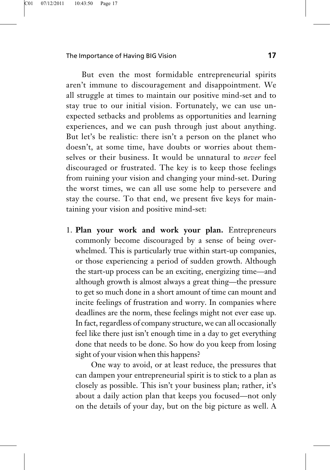But even the most formidable entrepreneurial spirits aren't immune to discouragement and disappointment. We all struggle at times to maintain our positive mind-set and to stay true to our initial vision. Fortunately, we can use unexpected setbacks and problems as opportunities and learning experiences, and we can push through just about anything. But let's be realistic: there isn't a person on the planet who doesn't, at some time, have doubts or worries about themselves or their business. It would be unnatural to *never* feel discouraged or frustrated. The key is to keep those feelings from ruining your vision and changing your mind-set. During the worst times, we can all use some help to persevere and stay the course. To that end, we present five keys for maintaining your vision and positive mind-set:

1. Plan your work and work your plan. Entrepreneurs commonly become discouraged by a sense of being overwhelmed. This is particularly true within start-up companies, or those experiencing a period of sudden growth. Although the start-up process can be an exciting, energizing time—and although growth is almost always a great thing—the pressure to get so much done in a short amount of time can mount and incite feelings of frustration and worry. In companies where deadlines are the norm, these feelings might not ever ease up. In fact, regardless of company structure, we can all occasionally feel like there just isn't enough time in a day to get everything done that needs to be done. So how do you keep from losing sight of your vision when this happens?

One way to avoid, or at least reduce, the pressures that can dampen your entrepreneurial spirit is to stick to a plan as closely as possible. This isn't your business plan; rather, it's about a daily action plan that keeps you focused—not only on the details of your day, but on the big picture as well. A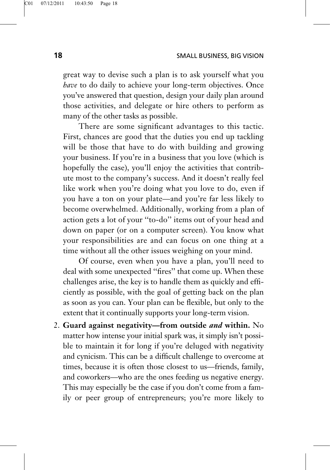great way to devise such a plan is to ask yourself what you have to do daily to achieve your long-term objectives. Once you've answered that question, design your daily plan around those activities, and delegate or hire others to perform as many of the other tasks as possible.

There are some significant advantages to this tactic. First, chances are good that the duties you end up tackling will be those that have to do with building and growing your business. If you're in a business that you love (which is hopefully the case), you'll enjoy the activities that contribute most to the company's success. And it doesn't really feel like work when you're doing what you love to do, even if you have a ton on your plate—and you're far less likely to become overwhelmed. Additionally, working from a plan of action gets a lot of your ''to-do'' items out of your head and down on paper (or on a computer screen). You know what your responsibilities are and can focus on one thing at a time without all the other issues weighing on your mind.

Of course, even when you have a plan, you'll need to deal with some unexpected ''fires'' that come up. When these challenges arise, the key is to handle them as quickly and efficiently as possible, with the goal of getting back on the plan as soon as you can. Your plan can be flexible, but only to the extent that it continually supports your long-term vision.

2. Guard against negativity—from outside and within. No matter how intense your initial spark was, it simply isn't possible to maintain it for long if you're deluged with negativity and cynicism. This can be a difficult challenge to overcome at times, because it is often those closest to us—friends, family, and coworkers—who are the ones feeding us negative energy. This may especially be the case if you don't come from a family or peer group of entrepreneurs; you're more likely to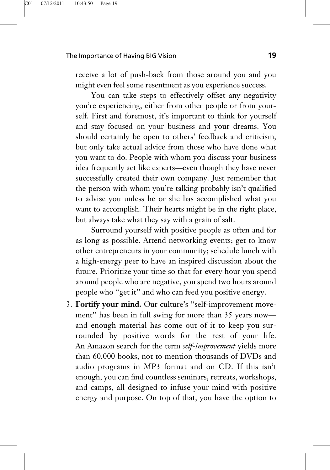receive a lot of push-back from those around you and you might even feel some resentment as you experience success.

You can take steps to effectively offset any negativity you're experiencing, either from other people or from yourself. First and foremost, it's important to think for yourself and stay focused on your business and your dreams. You should certainly be open to others' feedback and criticism, but only take actual advice from those who have done what you want to do. People with whom you discuss your business idea frequently act like experts—even though they have never successfully created their own company. Just remember that the person with whom you're talking probably isn't qualified to advise you unless he or she has accomplished what you want to accomplish. Their hearts might be in the right place, but always take what they say with a grain of salt.

Surround yourself with positive people as often and for as long as possible. Attend networking events; get to know other entrepreneurs in your community; schedule lunch with a high-energy peer to have an inspired discussion about the future. Prioritize your time so that for every hour you spend around people who are negative, you spend two hours around people who ''get it'' and who can feed you positive energy.

3. Fortify your mind. Our culture's ''self-improvement movement'' has been in full swing for more than 35 years now and enough material has come out of it to keep you surrounded by positive words for the rest of your life. An Amazon search for the term *self-improvement* yields more than 60,000 books, not to mention thousands of DVDs and audio programs in MP3 format and on CD. If this isn't enough, you can find countless seminars, retreats, workshops, and camps, all designed to infuse your mind with positive energy and purpose. On top of that, you have the option to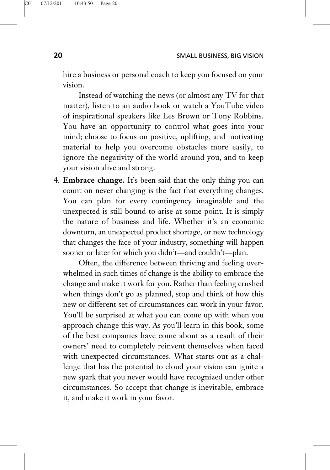hire a business or personal coach to keep you focused on your vision.

Instead of watching the news (or almost any TV for that matter), listen to an audio book or watch a YouTube video of inspirational speakers like Les Brown or Tony Robbins. You have an opportunity to control what goes into your mind; choose to focus on positive, uplifting, and motivating material to help you overcome obstacles more easily, to ignore the negativity of the world around you, and to keep your vision alive and strong.

4. Embrace change. It's been said that the only thing you can count on never changing is the fact that everything changes. You can plan for every contingency imaginable and the unexpected is still bound to arise at some point. It is simply the nature of business and life. Whether it's an economic downturn, an unexpected product shortage, or new technology that changes the face of your industry, something will happen sooner or later for which you didn't—and couldn't—plan.

Often, the difference between thriving and feeling overwhelmed in such times of change is the ability to embrace the change and make it work for you. Rather than feeling crushed when things don't go as planned, stop and think of how this new or different set of circumstances can work in your favor. You'll be surprised at what you can come up with when you approach change this way. As you'll learn in this book, some of the best companies have come about as a result of their owners' need to completely reinvent themselves when faced with unexpected circumstances. What starts out as a challenge that has the potential to cloud your vision can ignite a new spark that you never would have recognized under other circumstances. So accept that change is inevitable, embrace it, and make it work in your favor.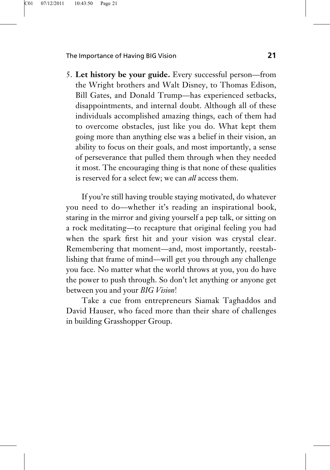5. Let history be your guide. Every successful person—from the Wright brothers and Walt Disney, to Thomas Edison, Bill Gates, and Donald Trump—has experienced setbacks, disappointments, and internal doubt. Although all of these individuals accomplished amazing things, each of them had to overcome obstacles, just like you do. What kept them going more than anything else was a belief in their vision, an ability to focus on their goals, and most importantly, a sense of perseverance that pulled them through when they needed it most. The encouraging thing is that none of these qualities is reserved for a select few; we can all access them.

If you're still having trouble staying motivated, do whatever you need to do—whether it's reading an inspirational book, staring in the mirror and giving yourself a pep talk, or sitting on a rock meditating—to recapture that original feeling you had when the spark first hit and your vision was crystal clear. Remembering that moment—and, most importantly, reestablishing that frame of mind—will get you through any challenge you face. No matter what the world throws at you, you do have the power to push through. So don't let anything or anyone get between you and your *BIG Vision*!

Take a cue from entrepreneurs Siamak Taghaddos and David Hauser, who faced more than their share of challenges in building Grasshopper Group.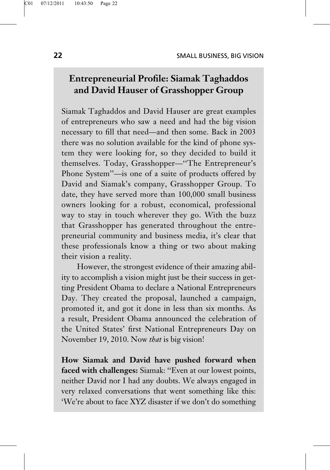# Entrepreneurial Profile: Siamak Taghaddos and David Hauser of Grasshopper Group

Siamak Taghaddos and David Hauser are great examples of entrepreneurs who saw a need and had the big vision necessary to fill that need—and then some. Back in 2003 there was no solution available for the kind of phone system they were looking for, so they decided to build it themselves. Today, Grasshopper—''The Entrepreneur's Phone System''—is one of a suite of products offered by David and Siamak's company, Grasshopper Group. To date, they have served more than 100,000 small business owners looking for a robust, economical, professional way to stay in touch wherever they go. With the buzz that Grasshopper has generated throughout the entrepreneurial community and business media, it's clear that these professionals know a thing or two about making their vision a reality.

However, the strongest evidence of their amazing ability to accomplish a vision might just be their success in getting President Obama to declare a National Entrepreneurs Day. They created the proposal, launched a campaign, promoted it, and got it done in less than six months. As a result, President Obama announced the celebration of the United States' first National Entrepreneurs Day on November 19, 2010. Now that is big vision!

How Siamak and David have pushed forward when faced with challenges: Siamak: ''Even at our lowest points, neither David nor I had any doubts. We always engaged in very relaxed conversations that went something like this: 'We're about to face XYZ disaster if we don't do something

Contract Contract Contract Contract Contract Contract Contract Contract Contract Contract Contract Contract Co<br>Separate Contract Contract Contract Contract Contract Contract Contract Contract Contract Contract Contract Co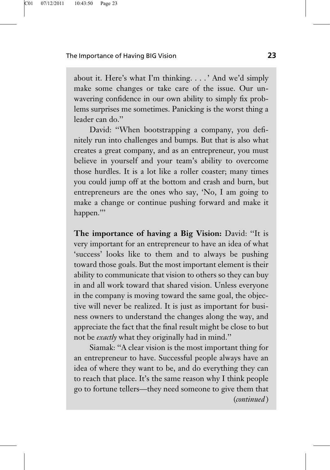about it. Here's what I'm thinking. . . . ' And we'd simply make some changes or take care of the issue. Our unwavering confidence in our own ability to simply fix problems surprises me sometimes. Panicking is the worst thing a leader can do.''

David: ''When bootstrapping a company, you definitely run into challenges and bumps. But that is also what creates a great company, and as an entrepreneur, you must believe in yourself and your team's ability to overcome those hurdles. It is a lot like a roller coaster; many times you could jump off at the bottom and crash and burn, but entrepreneurs are the ones who say, 'No, I am going to make a change or continue pushing forward and make it happen.'''

The importance of having a Big Vision: David: ''It is very important for an entrepreneur to have an idea of what 'success' looks like to them and to always be pushing toward those goals. But the most important element is their ability to communicate that vision to others so they can buy in and all work toward that shared vision. Unless everyone in the company is moving toward the same goal, the objective will never be realized. It is just as important for business owners to understand the changes along the way, and appreciate the fact that the final result might be close to but not be *exactly* what they originally had in mind."

Siamak: ''A clear vision is the most important thing for an entrepreneur to have. Successful people always have an idea of where they want to be, and do everything they can to reach that place. It's the same reason why I think people go to fortune tellers—they need someone to give them that (continued )